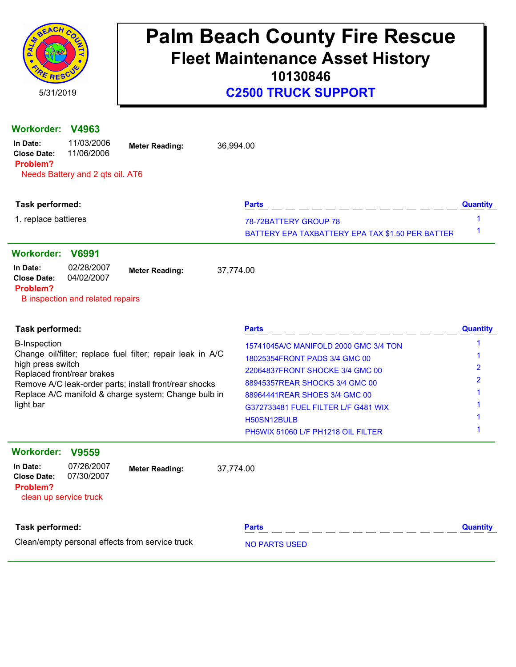

### **C2500 TRUCK SUPPORT**

| <b>Workorder:</b>                          | V4963                            |                                                            |           |                                                  |                 |  |  |
|--------------------------------------------|----------------------------------|------------------------------------------------------------|-----------|--------------------------------------------------|-----------------|--|--|
| In Date:<br><b>Close Date:</b><br>Problem? | 11/03/2006<br>11/06/2006         | <b>Meter Reading:</b>                                      | 36,994.00 |                                                  |                 |  |  |
|                                            | Needs Battery and 2 qts oil. AT6 |                                                            |           |                                                  |                 |  |  |
|                                            |                                  |                                                            |           | <b>Parts</b>                                     | <b>Quantity</b> |  |  |
| Task performed:                            |                                  |                                                            |           |                                                  |                 |  |  |
| 1. replace battieres                       |                                  |                                                            |           | 78-72BATTERY GROUP 78                            | 1<br>1          |  |  |
|                                            |                                  |                                                            |           | BATTERY EPA TAXBATTERY EPA TAX \$1.50 PER BATTER |                 |  |  |
| <b>Workorder:</b>                          | <b>V6991</b>                     |                                                            |           |                                                  |                 |  |  |
| In Date:<br><b>Close Date:</b>             | 02/28/2007<br>04/02/2007         | <b>Meter Reading:</b>                                      | 37,774.00 |                                                  |                 |  |  |
| Problem?                                   | B inspection and related repairs |                                                            |           |                                                  |                 |  |  |
| Task performed:                            |                                  |                                                            |           | <b>Parts</b>                                     | <b>Quantity</b> |  |  |
| <b>B-Inspection</b>                        |                                  |                                                            |           | 15741045A/C MANIFOLD 2000 GMC 3/4 TON            | $\mathbf 1$     |  |  |
| high press switch                          |                                  | Change oil/filter; replace fuel filter; repair leak in A/C |           | 18025354FRONT PADS 3/4 GMC 00                    |                 |  |  |
|                                            | Replaced front/rear brakes       |                                                            |           | 22064837FRONT SHOCKE 3/4 GMC 00                  | $\overline{2}$  |  |  |
|                                            |                                  | Remove A/C leak-order parts; install front/rear shocks     |           | 88945357REAR SHOCKS 3/4 GMC 00                   | 2               |  |  |
|                                            |                                  | Replace A/C manifold & charge system; Change bulb in       |           | 88964441REAR SHOES 3/4 GMC 00                    |                 |  |  |
| light bar                                  |                                  |                                                            |           | G372733481 FUEL FILTER L/F G481 WIX              |                 |  |  |
|                                            |                                  |                                                            |           | H50SN12BULB                                      |                 |  |  |
|                                            |                                  |                                                            |           | PH5WIX 51060 L/F PH1218 OIL FILTER               | 1               |  |  |
| <b>Workorder:</b>                          | <b>V9559</b>                     |                                                            |           |                                                  |                 |  |  |
| In Date:<br><b>Close Date:</b><br>Problem? | 07/26/2007<br>07/30/2007         | <b>Meter Reading:</b>                                      | 37,774.00 |                                                  |                 |  |  |
| clean up service truck                     |                                  |                                                            |           |                                                  |                 |  |  |
| Task performed:                            |                                  |                                                            |           | <b>Parts</b>                                     | <b>Quantity</b> |  |  |

Clean/empty personal effects from service truck NO PARTS USED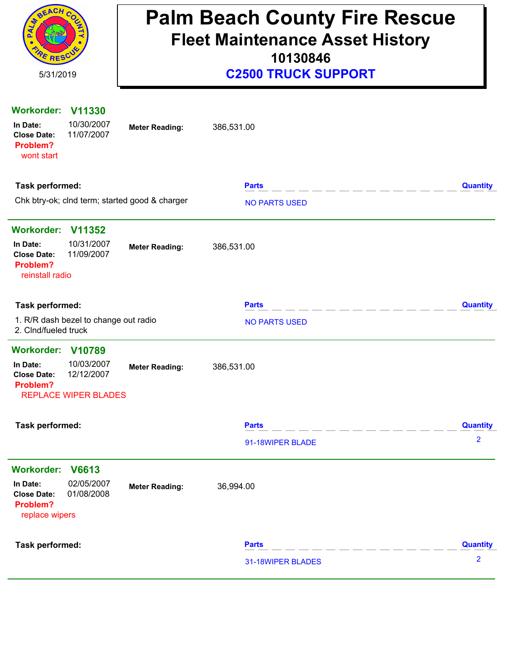| REACH C<br>RESCU<br>5/31/2019                                                                                              | <b>Palm Beach County Fire Rescue</b><br><b>Fleet Maintenance Asset History</b><br>10130846<br><b>C2500 TRUCK SUPPORT</b> |                                  |                      |  |  |
|----------------------------------------------------------------------------------------------------------------------------|--------------------------------------------------------------------------------------------------------------------------|----------------------------------|----------------------|--|--|
| <b>Workorder:</b><br>V11330<br>10/30/2007<br>In Date:<br>11/07/2007<br><b>Close Date:</b><br>Problem?<br>wont start        | <b>Meter Reading:</b>                                                                                                    | 386,531.00                       |                      |  |  |
| Task performed:                                                                                                            |                                                                                                                          | <b>Parts</b>                     | <b>Quantity</b>      |  |  |
| Chk btry-ok; clnd term; started good & charger                                                                             |                                                                                                                          | <b>NO PARTS USED</b>             |                      |  |  |
| <b>Workorder:</b><br>V11352<br>10/31/2007<br>In Date:<br>11/09/2007<br><b>Close Date:</b><br>Problem?<br>reinstall radio   | <b>Meter Reading:</b>                                                                                                    | 386,531.00                       |                      |  |  |
| <b>Task performed:</b>                                                                                                     |                                                                                                                          | <b>Parts</b>                     | <b>Quantity</b>      |  |  |
| 1. R/R dash bezel to change out radio<br>2. Clnd/fueled truck                                                              |                                                                                                                          | <b>NO PARTS USED</b>             |                      |  |  |
| Workorder: V10789<br>10/03/2007<br>In Date:<br>12/12/2007<br><b>Close Date:</b><br>Problem?<br><b>REPLACE WIPER BLADES</b> | <b>Meter Reading:</b>                                                                                                    | 386,531.00                       |                      |  |  |
| <b>Task performed:</b>                                                                                                     |                                                                                                                          | <b>Parts</b><br>91-18WIPER BLADE | <b>Quantity</b><br>2 |  |  |
| <b>Workorder:</b><br>V6613<br>02/05/2007<br>In Date:<br><b>Close Date:</b><br>01/08/2008<br>Problem?<br>replace wipers     | <b>Meter Reading:</b>                                                                                                    | 36,994.00                        |                      |  |  |
| Task performed:                                                                                                            |                                                                                                                          | <b>Parts</b>                     | <b>Quantity</b>      |  |  |
|                                                                                                                            |                                                                                                                          | 31-18WIPER BLADES                | $\overline{2}$       |  |  |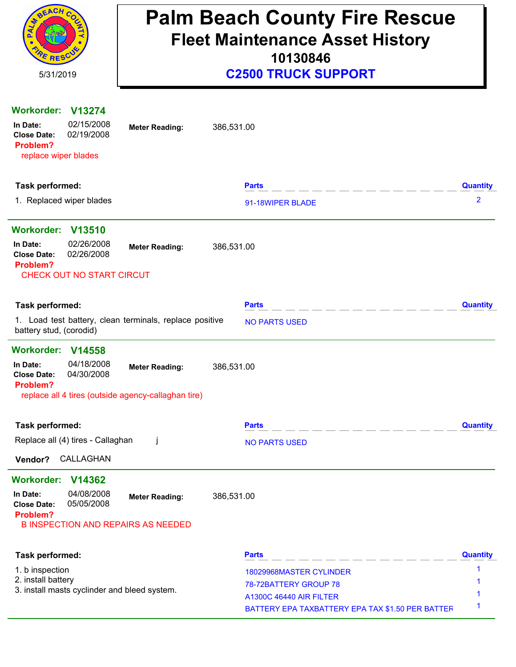| SEACH C<br>5/31/2019                                                                                                                                                                  | <b>Palm Beach County Fire Rescue</b><br><b>Fleet Maintenance Asset History</b><br>10130846<br><b>C2500 TRUCK SUPPORT</b> |                 |  |  |  |
|---------------------------------------------------------------------------------------------------------------------------------------------------------------------------------------|--------------------------------------------------------------------------------------------------------------------------|-----------------|--|--|--|
| <b>Workorder:</b><br>V13274<br>02/15/2008<br>In Date:<br><b>Meter Reading:</b><br>02/19/2008<br><b>Close Date:</b><br>Problem?<br>replace wiper blades                                | 386,531.00                                                                                                               |                 |  |  |  |
| Task performed:                                                                                                                                                                       | <b>Parts</b>                                                                                                             | <b>Quantity</b> |  |  |  |
| 1. Replaced wiper blades                                                                                                                                                              | 91-18WIPER BLADE                                                                                                         | $\overline{2}$  |  |  |  |
| Workorder: V13510                                                                                                                                                                     |                                                                                                                          |                 |  |  |  |
| 02/26/2008<br>In Date:<br><b>Meter Reading:</b><br>02/26/2008<br><b>Close Date:</b><br>Problem?<br><b>CHECK OUT NO START CIRCUT</b>                                                   | 386,531.00                                                                                                               |                 |  |  |  |
| Task performed:                                                                                                                                                                       | <b>Parts</b>                                                                                                             | <b>Quantity</b> |  |  |  |
| 1. Load test battery, clean terminals, replace positive<br>battery stud, (corodid)                                                                                                    | <b>NO PARTS USED</b>                                                                                                     |                 |  |  |  |
| <b>Workorder:</b><br>V14558<br>04/18/2008<br>In Date:<br><b>Meter Reading:</b><br>04/30/2008<br><b>Close Date:</b><br>Problem?<br>replace all 4 tires (outside agency-callaghan tire) | 386,531.00                                                                                                               |                 |  |  |  |
| Task performed:                                                                                                                                                                       | <b>Parts</b>                                                                                                             | <b>Quantity</b> |  |  |  |
| Replace all (4) tires - Callaghan<br>Ť                                                                                                                                                | <b>NO PARTS USED</b>                                                                                                     |                 |  |  |  |
| CALLAGHAN<br>Vendor?                                                                                                                                                                  |                                                                                                                          |                 |  |  |  |
| <b>Workorder:</b><br>V14362<br>04/08/2008<br>In Date:<br><b>Meter Reading:</b><br>05/05/2008<br><b>Close Date:</b><br>Problem?<br><b>B INSPECTION AND REPAIRS AS NEEDED</b>           | 386,531.00                                                                                                               |                 |  |  |  |
| Task performed:                                                                                                                                                                       | <b>Parts</b>                                                                                                             | <b>Quantity</b> |  |  |  |
| 1. b inspection                                                                                                                                                                       | 18029968MASTER CYLINDER                                                                                                  | 1               |  |  |  |
| 2. install battery<br>3. install masts cyclinder and bleed system.                                                                                                                    | 78-72BATTERY GROUP 78                                                                                                    |                 |  |  |  |
|                                                                                                                                                                                       | <b>A1300C 46440 AIR FILTER</b><br>BATTERY EPA TAXBATTERY EPA TAX \$1.50 PER BATTEF                                       | 1               |  |  |  |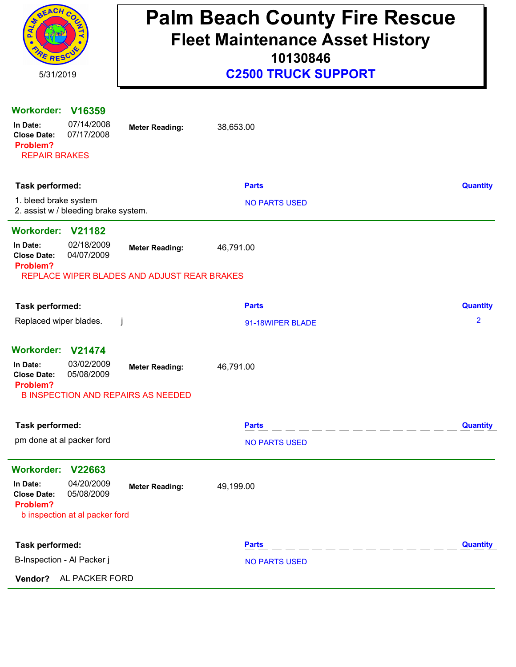| REACH C<br>RESC                                                                                                                                      | <b>Palm Beach County Fire Rescue</b><br><b>Fleet Maintenance Asset History</b><br>10130846 |                                      |                 |  |  |  |
|------------------------------------------------------------------------------------------------------------------------------------------------------|--------------------------------------------------------------------------------------------|--------------------------------------|-----------------|--|--|--|
| 5/31/2019                                                                                                                                            |                                                                                            | <b>C2500 TRUCK SUPPORT</b>           |                 |  |  |  |
| <b>Workorder:</b><br>V <sub>16359</sub><br>07/14/2008<br>In Date:<br>07/17/2008<br><b>Close Date:</b><br>Problem?<br><b>REPAIR BRAKES</b>            | <b>Meter Reading:</b>                                                                      | 38,653.00                            |                 |  |  |  |
| Task performed:                                                                                                                                      |                                                                                            | <b>Parts</b>                         | <b>Quantity</b> |  |  |  |
| 1. bleed brake system<br>2. assist w / bleeding brake system.                                                                                        |                                                                                            | <b>NO PARTS USED</b>                 |                 |  |  |  |
| <b>Workorder:</b><br>V21182<br>02/18/2009<br>In Date:<br>04/07/2009<br><b>Close Date:</b><br>Problem?<br>REPLACE WIPER BLADES AND ADJUST REAR BRAKES | <b>Meter Reading:</b>                                                                      | 46,791.00                            |                 |  |  |  |
| Task performed:                                                                                                                                      |                                                                                            | <b>Parts</b>                         | <b>Quantity</b> |  |  |  |
| Replaced wiper blades.                                                                                                                               | Ĵ                                                                                          | 91-18WIPER BLADE                     | $\overline{2}$  |  |  |  |
| <b>Workorder:</b><br>V21474                                                                                                                          |                                                                                            |                                      |                 |  |  |  |
| 03/02/2009<br>In Date:<br>05/08/2009<br><b>Close Date:</b><br>Problem?<br><b>B INSPECTION AND REPAIRS AS NEEDED</b>                                  | <b>Meter Reading:</b>                                                                      | 46,791.00                            |                 |  |  |  |
|                                                                                                                                                      |                                                                                            |                                      |                 |  |  |  |
| Task performed:<br>pm done at al packer ford                                                                                                         |                                                                                            | <b>Parts</b><br><b>NO PARTS USED</b> | <b>Quantity</b> |  |  |  |
| <b>Workorder:</b><br>V22663                                                                                                                          |                                                                                            |                                      |                 |  |  |  |
| 04/20/2009<br>In Date:<br>05/08/2009<br><b>Close Date:</b><br>Problem?<br>b inspection at al packer ford                                             | <b>Meter Reading:</b>                                                                      | 49,199.00                            |                 |  |  |  |
| Task performed:                                                                                                                                      |                                                                                            | <b>Parts</b><br>_ _ _ _ _ _ _ _ _    | <b>Quantity</b> |  |  |  |
| B-Inspection - Al Packer j                                                                                                                           |                                                                                            | <b>NO PARTS USED</b>                 |                 |  |  |  |
| AL PACKER FORD<br>Vendor?                                                                                                                            |                                                                                            |                                      |                 |  |  |  |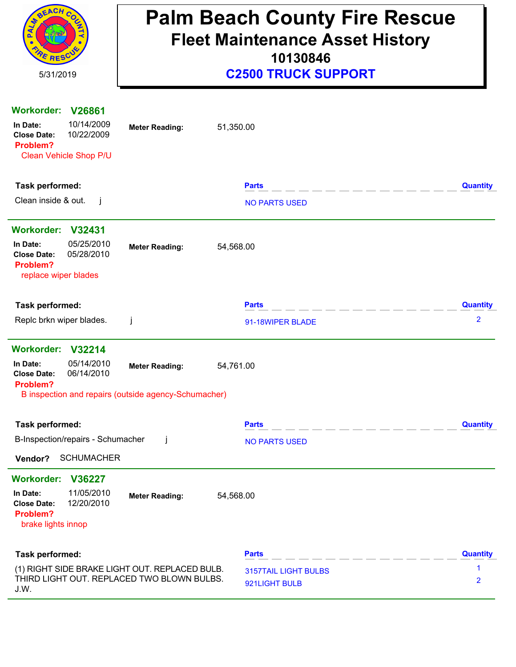| REACH CO<br>RESCO<br>5/31/2019                                                                                    | <b>Palm Beach County Fire Rescue</b><br><b>Fleet Maintenance Asset History</b><br>10130846<br><b>C2500 TRUCK SUPPORT</b> |                                              |                 |  |  |
|-------------------------------------------------------------------------------------------------------------------|--------------------------------------------------------------------------------------------------------------------------|----------------------------------------------|-----------------|--|--|
| Workorder: V26861                                                                                                 |                                                                                                                          |                                              |                 |  |  |
| 10/14/2009<br>In Date:<br>10/22/2009<br><b>Close Date:</b><br>Problem?<br>Clean Vehicle Shop P/U                  | <b>Meter Reading:</b>                                                                                                    | 51,350.00                                    |                 |  |  |
| Task performed:                                                                                                   |                                                                                                                          | <b>Parts</b>                                 | <b>Quantity</b> |  |  |
| Clean inside & out.<br>-i                                                                                         |                                                                                                                          | <b>NO PARTS USED</b>                         |                 |  |  |
| Workorder: V32431                                                                                                 |                                                                                                                          |                                              |                 |  |  |
| 05/25/2010<br>In Date:<br>05/28/2010<br><b>Close Date:</b><br>Problem?<br>replace wiper blades                    | <b>Meter Reading:</b>                                                                                                    | 54,568.00                                    |                 |  |  |
| Task performed:                                                                                                   |                                                                                                                          | <b>Parts</b>                                 | <b>Quantity</b> |  |  |
| Replc brkn wiper blades.                                                                                          | j                                                                                                                        | 91-18WIPER BLADE                             | 2               |  |  |
| Workorder: V32214                                                                                                 |                                                                                                                          |                                              |                 |  |  |
| 05/14/2010<br>In Date:<br>06/14/2010<br><b>Close Date:</b><br>Problem?                                            | <b>Meter Reading:</b>                                                                                                    | 54,761.00                                    |                 |  |  |
|                                                                                                                   | B inspection and repairs (outside agency-Schumacher)                                                                     |                                              |                 |  |  |
| Task performed:                                                                                                   |                                                                                                                          | <b>Parts</b>                                 | <b>Quantity</b> |  |  |
| B-Inspection/repairs - Schumacher                                                                                 | $\mathbf{I}$                                                                                                             | <b>NO PARTS USED</b>                         |                 |  |  |
| <b>SCHUMACHER</b><br>Vendor?                                                                                      |                                                                                                                          |                                              |                 |  |  |
| Workorder: V36227<br>11/05/2010<br>In Date:<br>12/20/2010<br><b>Close Date:</b><br>Problem?<br>brake lights innop | <b>Meter Reading:</b>                                                                                                    | 54,568.00                                    |                 |  |  |
| Task performed:                                                                                                   |                                                                                                                          | <b>Parts</b>                                 | <b>Quantity</b> |  |  |
| (1) RIGHT SIDE BRAKE LIGHT OUT. REPLACED BULB.<br>J.W.                                                            | THIRD LIGHT OUT. REPLACED TWO BLOWN BULBS.                                                                               | <b>3157TAIL LIGHT BULBS</b><br>921LIGHT BULB | 1<br>2          |  |  |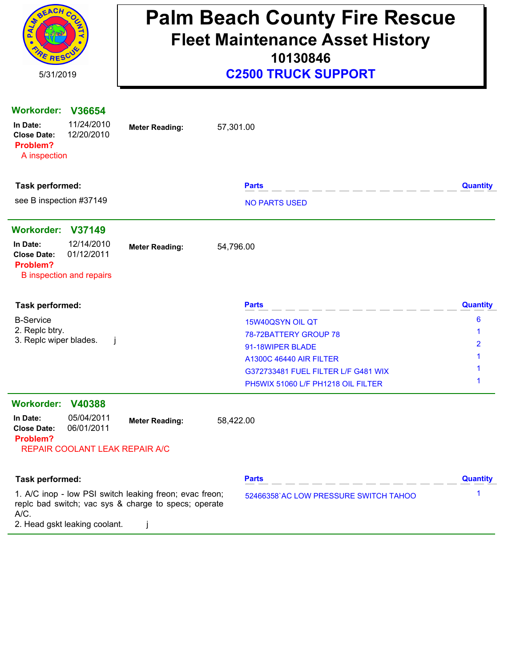| RIVERCH CO<br><b>PE RESC</b>                                                                                                                             | <b>Palm Beach County Fire Rescue</b><br><b>Fleet Maintenance Asset History</b><br>10130846 |                                                                                                                                                                              |                 |  |  |
|----------------------------------------------------------------------------------------------------------------------------------------------------------|--------------------------------------------------------------------------------------------|------------------------------------------------------------------------------------------------------------------------------------------------------------------------------|-----------------|--|--|
| 5/31/2019                                                                                                                                                |                                                                                            | <b>C2500 TRUCK SUPPORT</b>                                                                                                                                                   |                 |  |  |
| Workorder: V36654<br>11/24/2010<br>In Date:<br>12/20/2010<br><b>Close Date:</b><br>Problem?<br>A inspection                                              | 57,301.00<br><b>Meter Reading:</b>                                                         |                                                                                                                                                                              |                 |  |  |
| Task performed:                                                                                                                                          |                                                                                            | <b>Parts</b>                                                                                                                                                                 | <b>Quantity</b> |  |  |
| see B inspection #37149                                                                                                                                  |                                                                                            | <b>NO PARTS USED</b>                                                                                                                                                         |                 |  |  |
| Workorder: V37149<br>12/14/2010<br>In Date:<br>01/12/2011<br><b>Close Date:</b><br>Problem?<br><b>B</b> inspection and repairs                           | 54,796.00<br><b>Meter Reading:</b>                                                         |                                                                                                                                                                              |                 |  |  |
| Task performed:                                                                                                                                          |                                                                                            | <b>Parts</b>                                                                                                                                                                 | <b>Quantity</b> |  |  |
| <b>B-Service</b><br>2. Replc btry.<br>3. Replc wiper blades.                                                                                             |                                                                                            | 15W40QSYN OIL QT<br>78-72BATTERY GROUP 78<br>91-18WIPER BLADE<br><b>A1300C 46440 AIR FILTER</b><br>G372733481 FUEL FILTER L/F G481 WIX<br>PH5WIX 51060 L/F PH1218 OIL FILTER | 6               |  |  |
| Workorder: V40388<br>05/04/2011<br>In Date:<br>06/01/2011<br><b>Close Date:</b><br>Problem?<br>REPAIR COOLANT LEAK REPAIR A/C                            | 58,422.00<br><b>Meter Reading:</b>                                                         |                                                                                                                                                                              |                 |  |  |
| Task performed:                                                                                                                                          |                                                                                            | <b>Parts</b>                                                                                                                                                                 | <b>Quantity</b> |  |  |
| 1. A/C inop - low PSI switch leaking freon; evac freon;<br>replc bad switch; vac sys & charge to specs; operate<br>A/C.<br>2. Head gskt leaking coolant. | $\mathbf{I}$                                                                               | 52466358'AC LOW PRESSURE SWITCH TAHOO                                                                                                                                        | 1               |  |  |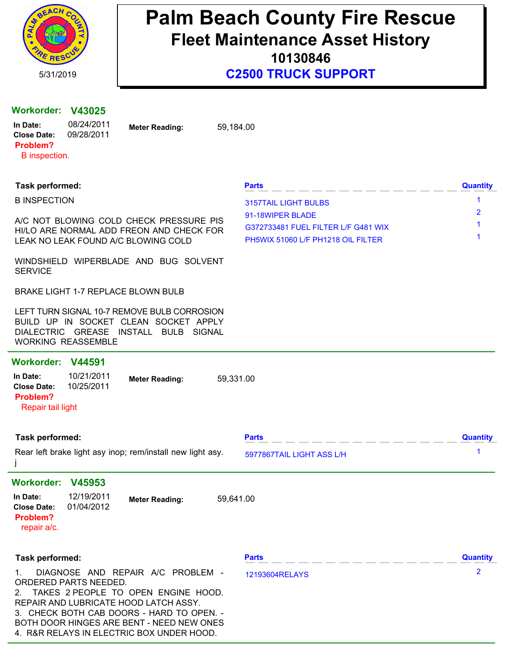

**10130846**

#### **Workorder: V43025**

| In Date:        | 08/24/2011 | <b>Meter Reading:</b> | 59.184.00 |
|-----------------|------------|-----------------------|-----------|
| Close Date:     | 09/28/2011 |                       |           |
| <b>Problem?</b> |            |                       |           |
| B inspection.   |            |                       |           |

#### **Task performed: Parts Quantity**

B INSPECTION A/C NOT BLOWING COLD CHECK PRESSURE PIS HI/LO ARE NORMAL ADD FREON AND CHECK FOR LEAK NO LEAK FOUND A/C BLOWING COLD WINDSHIELD WIPERBLADE AND BUG SOLVENT **SERVICE** BRAKE LIGHT 1-7 REPLACE BLOWN BULB LEFT TURN SIGNAL 10-7 REMOVE BULB CORROSION BUILD UP IN SOCKET CLEAN SOCKET APPLY DIALECTRIC GREASE INSTALL BULB SIGNAL WORKING REASSEMBLE 1 3157TAIL LIGHT BULBS 2 91-18WIPER BLADE 1 G372733481 FUEL FILTER L/F G481 WIX 1 PH5WIX 51060 L/F PH1218 OIL FILTER **Workorder: V44591 Meter Reading: In Date:** 59,331.00 10/21/2011 **Close Date:** 10/25/2011 Repair tail light **Problem? Task performed: Parts Quantity** Rear left brake light asy inop; rem/install new light asy. j 1 5977867TAIL LIGHT ASS L/H **Workorder: V45953 Meter Reading: In Date:** 59,641.00 12/19/2011 **Close Date:** 01/04/2012 repair a/c. **Problem? Task performed: Parts Quantity** 1. DIAGNOSE AND REPAIR A/C PROBLEM - ORDERED PARTS NEEDED. 2. TAKES 2 PEOPLE TO OPEN ENGINE HOOD. REPAIR AND LUBRICATE HOOD LATCH ASSY. 3. CHECK BOTH CAB DOORS - HARD TO OPEN. - BOTH DOOR HINGES ARE BENT - NEED NEW ONES. 2 12193604RELAYS

4. R&R RELAYS IN ELECTRIC BOX UNDER HOOD.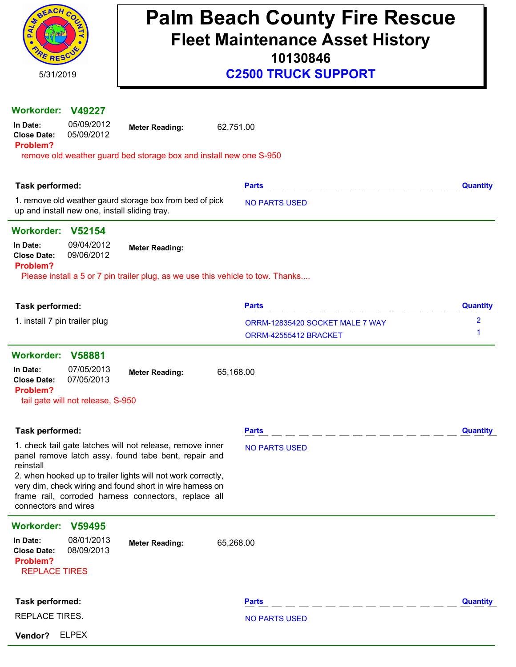| <b>SEACH</b><br>E RESCU<br>5/31/2019                                                           | <b>Palm Beach County Fire Rescue</b><br><b>Fleet Maintenance Asset History</b><br>10130846<br><b>C2500 TRUCK SUPPORT</b>                                                          |                                                          |                     |  |  |
|------------------------------------------------------------------------------------------------|-----------------------------------------------------------------------------------------------------------------------------------------------------------------------------------|----------------------------------------------------------|---------------------|--|--|
|                                                                                                |                                                                                                                                                                                   |                                                          |                     |  |  |
| <b>Workorder:</b><br>V49227<br>05/09/2012<br>In Date:<br>05/09/2012<br><b>Close Date:</b>      | <b>Meter Reading:</b>                                                                                                                                                             | 62,751.00                                                |                     |  |  |
| Problem?                                                                                       | remove old weather guard bed storage box and install new one S-950                                                                                                                |                                                          |                     |  |  |
|                                                                                                |                                                                                                                                                                                   |                                                          |                     |  |  |
| Task performed:                                                                                |                                                                                                                                                                                   | <b>Parts</b>                                             | <b>Quantity</b>     |  |  |
| up and install new one, install sliding tray.                                                  | 1. remove old weather gaurd storage box from bed of pick                                                                                                                          | <b>NO PARTS USED</b>                                     |                     |  |  |
| Workorder: V52154                                                                              |                                                                                                                                                                                   |                                                          |                     |  |  |
| 09/04/2012<br>In Date:<br>09/06/2012<br><b>Close Date:</b>                                     | <b>Meter Reading:</b>                                                                                                                                                             |                                                          |                     |  |  |
| Problem?                                                                                       | Please install a 5 or 7 pin trailer plug, as we use this vehicle to tow. Thanks                                                                                                   |                                                          |                     |  |  |
|                                                                                                |                                                                                                                                                                                   |                                                          |                     |  |  |
| Task performed:                                                                                |                                                                                                                                                                                   | <b>Parts</b>                                             | <b>Quantity</b>     |  |  |
| 1. install 7 pin trailer plug                                                                  |                                                                                                                                                                                   | ORRM-12835420 SOCKET MALE 7 WAY<br>ORRM-42555412 BRACKET | $\overline{2}$<br>1 |  |  |
| <b>Workorder:</b><br>V58881                                                                    |                                                                                                                                                                                   |                                                          |                     |  |  |
| 07/05/2013<br>In Date:<br>07/05/2013<br><b>Close Date:</b><br>Problem?                         | <b>Meter Reading:</b>                                                                                                                                                             | 65,168.00                                                |                     |  |  |
| tail gate will not release, S-950                                                              |                                                                                                                                                                                   |                                                          |                     |  |  |
|                                                                                                |                                                                                                                                                                                   |                                                          |                     |  |  |
| Task performed:                                                                                |                                                                                                                                                                                   | <b>Parts</b>                                             | <b>Quantity</b>     |  |  |
| reinstall                                                                                      | 1. check tail gate latches will not release, remove inner<br>panel remove latch assy. found tabe bent, repair and                                                                 | <b>NO PARTS USED</b>                                     |                     |  |  |
| connectors and wires                                                                           | 2. when hooked up to trailer lights will not work correctly,<br>very dim, check wiring and found short in wire harness on<br>frame rail, corroded harness connectors, replace all |                                                          |                     |  |  |
| <b>Workorder:</b><br>V59495                                                                    |                                                                                                                                                                                   |                                                          |                     |  |  |
| 08/01/2013<br>In Date:<br>08/09/2013<br><b>Close Date:</b><br>Problem?<br><b>REPLACE TIRES</b> | <b>Meter Reading:</b>                                                                                                                                                             | 65,268.00                                                |                     |  |  |
|                                                                                                |                                                                                                                                                                                   |                                                          |                     |  |  |
| Task performed:                                                                                |                                                                                                                                                                                   | <b>Parts</b>                                             | <b>Quantity</b>     |  |  |
| REPLACE TIRES.                                                                                 |                                                                                                                                                                                   | <b>NO PARTS USED</b>                                     |                     |  |  |
| <b>ELPEX</b><br>Vendor?                                                                        |                                                                                                                                                                                   |                                                          |                     |  |  |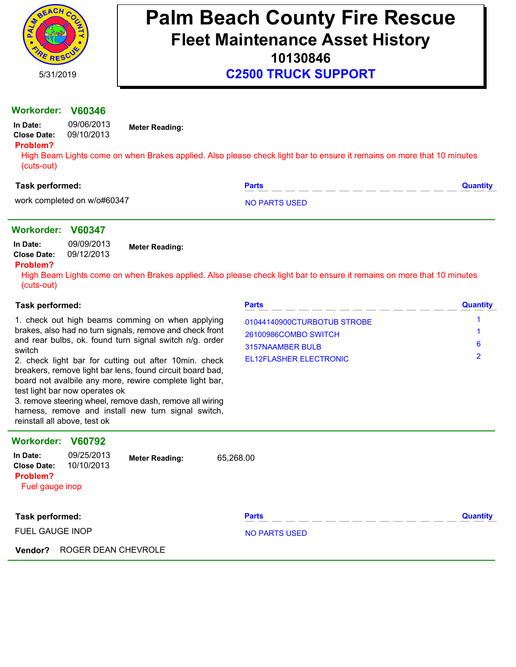

**C2500 TRUCK SUPPORT**

#### **Workorder: V60346**

| In Date:           |  |
|--------------------|--|
| <b>Close Date:</b> |  |

**Meter Reading:**

#### **Problem?**

High Beam Lights come on when Brakes applied. Also please check light bar to ensure it remains on more that 10 minutes (cuts-out)

#### **Task performed: Parts Quantity**

work completed on w/o#60347 NO PARTS USED

#### **Workorder: V60347**

| In Date:    | 09/09/2013 | <b>Meter Reading:</b> |  |  |
|-------------|------------|-----------------------|--|--|
| Close Date: | 09/12/2013 |                       |  |  |

**In Date:** 09/06/2013 09/10/2013

#### **Problem?**

High Beam Lights come on when Brakes applied. Also please check light bar to ensure it remains on more that 10 minutes (cuts-out)

#### **Task performed:**

|        |  | 1. check out high beams comming on when applying         |  |  |  |
|--------|--|----------------------------------------------------------|--|--|--|
|        |  | brakes, also had no turn signals, remove and check front |  |  |  |
|        |  | and rear bulbs, ok. found turn signal switch n/g. order  |  |  |  |
| switch |  |                                                          |  |  |  |

2. check light bar for cutting out after 10min. check breakers, remove light bar lens, found circuit board bad, board not avalbile any more, rewire complete light bar, test light bar now operates ok

3. remove steering wheel, remove dash, remove all wiring harness, remove and install new turn signal switch, reinstall all above, test ok

| <b>Parts</b>                | <b>Quantity</b> |
|-----------------------------|-----------------|
| 01044140900CTURBOTUB STROBE |                 |
| 26100986COMBO SWITCH        |                 |
| 3157NAAMBER BULB            | 6               |
| EL12FLASHER ELECTRONIC      |                 |

| <b>Workorder:</b>                                             | V60792                   |                       |                      |                 |
|---------------------------------------------------------------|--------------------------|-----------------------|----------------------|-----------------|
| In Date:<br><b>Close Date:</b><br>Problem?<br>Fuel gauge inop | 09/25/2013<br>10/10/2013 | <b>Meter Reading:</b> | 65,268.00            |                 |
| Task performed:                                               |                          |                       | <b>Parts</b>         | <b>Quantity</b> |
| <b>FUEL GAUGE INOP</b>                                        |                          |                       | <b>NO PARTS USED</b> |                 |
| Vendor?                                                       | ROGER DEAN CHEVROLE      |                       |                      |                 |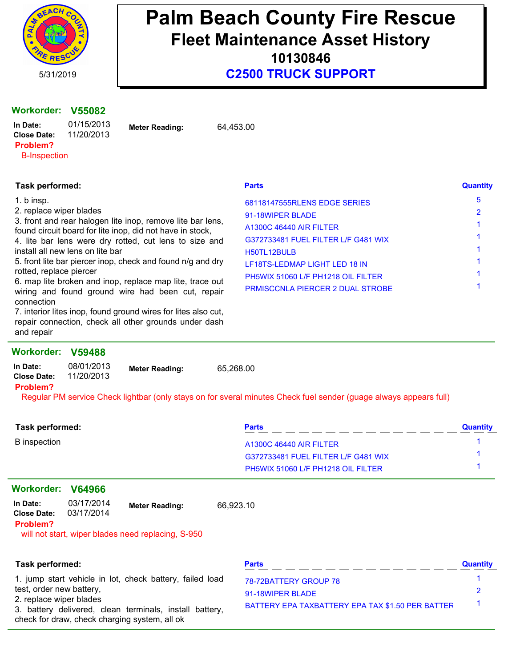

**10130846**

**C2500 TRUCK SUPPORT**

#### **Workorder: V55082**

**Meter Reading: In Date:** 64,453.00 01/15/2013 **Close Date:** 11/20/2013

**Problem?**

# B-Inspection

| Task performed:                                                                                                             | <b>Parts</b>                            | <b>Quantity</b> |
|-----------------------------------------------------------------------------------------------------------------------------|-----------------------------------------|-----------------|
| 1. b insp.                                                                                                                  | 68118147555RLENS EDGE SERIES            | 5               |
| 2. replace wiper blades                                                                                                     | 91-18WIPER BLADE                        |                 |
| 3. front and rear halogen lite inop, remove lite bar lens,<br>found circuit board for lite inop, did not have in stock,     | <b>A1300C 46440 AIR FILTER</b>          |                 |
| 4. lite bar lens were dry rotted, cut lens to size and                                                                      | G372733481 FUEL FILTER L/F G481 WIX     |                 |
| install all new lens on lite bar                                                                                            | H50TL12BULB                             |                 |
| 5. front lite bar piercer inop, check and found n/g and dry                                                                 | LF18TS-LEDMAP LIGHT LED 18 IN           |                 |
| rotted, replace piercer                                                                                                     | PH5WIX 51060 L/F PH1218 OIL FILTER      |                 |
| 6. map lite broken and inop, replace map lite, trace out<br>wiring and found ground wire had been cut, repair<br>connection | <b>PRMISCCNLA PIERCER 2 DUAL STROBE</b> |                 |

7. interior lites inop, found ground wires for lites also cut, repair connection, check all other grounds under dash and repair

#### **Workorder: V59488**

| In Date:<br><b>Close Date:</b> | 08/01/2013<br>11/20/2013 | <b>Meter Reading:</b> | 65,268.00 |
|--------------------------------|--------------------------|-----------------------|-----------|
| Problem?                       |                          |                       |           |
| ---<br>__                      |                          |                       | .         |

Regular PM service Check lightbar (only stays on for sveral minutes Check fuel sender (guage always appears full)

| <b>Task performed:</b>                     |                          |                                                                                                          |           | <b>Parts</b>                                     | <b>Quantity</b> |
|--------------------------------------------|--------------------------|----------------------------------------------------------------------------------------------------------|-----------|--------------------------------------------------|-----------------|
| <b>B</b> inspection                        |                          |                                                                                                          |           | <b>A1300C 46440 AIR FILTER</b>                   |                 |
|                                            |                          |                                                                                                          |           | G372733481 FUEL FILTER L/F G481 WIX              |                 |
|                                            |                          |                                                                                                          |           | PH5WIX 51060 L/F PH1218 OIL FILTER               |                 |
| <b>Workorder:</b>                          | V64966                   |                                                                                                          |           |                                                  |                 |
| In Date:<br><b>Close Date:</b><br>Problem? | 03/17/2014<br>03/17/2014 | <b>Meter Reading:</b><br>will not start, wiper blades need replacing, S-950                              | 66,923.10 |                                                  |                 |
| Task performed:                            |                          |                                                                                                          |           | <b>Parts</b>                                     | <b>Quantity</b> |
|                                            |                          | 1. jump start vehicle in lot, check battery, failed load                                                 |           | 78-72BATTERY GROUP 78                            |                 |
| test, order new battery,                   |                          |                                                                                                          |           | 91-18WIPER BLADE                                 | 2               |
| 2. replace wiper blades                    |                          | 3. battery delivered, clean terminals, install battery,<br>check for draw, check charging system, all ok |           | BATTERY EPA TAXBATTERY EPA TAX \$1.50 PER BATTEF |                 |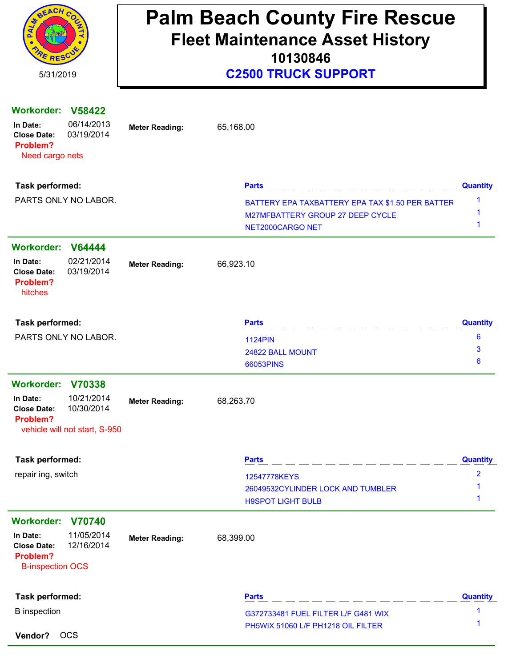| REACH CO<br><b>E</b> RESC<br>5/31/2019                                             |                                                           |                       |           | <b>Palm Beach County Fire Rescue</b><br><b>Fleet Maintenance Asset History</b><br>10130846<br><b>C2500 TRUCK SUPPORT</b> |                                   |
|------------------------------------------------------------------------------------|-----------------------------------------------------------|-----------------------|-----------|--------------------------------------------------------------------------------------------------------------------------|-----------------------------------|
| <b>Workorder:</b><br>In Date:<br><b>Close Date:</b><br>Problem?<br>Need cargo nets | <b>V58422</b><br>06/14/2013<br>03/19/2014                 | <b>Meter Reading:</b> | 65,168.00 |                                                                                                                          |                                   |
| Task performed:                                                                    |                                                           |                       |           | <b>Parts</b>                                                                                                             | <b>Quantity</b>                   |
| PARTS ONLY NO LABOR.                                                               |                                                           |                       |           | BATTERY EPA TAXBATTERY EPA TAX \$1.50 PER BATTER<br>M27MFBATTERY GROUP 27 DEEP CYCLE<br>NET2000CARGO NET                 | 1<br>1                            |
| Workorder: V64444                                                                  |                                                           |                       |           |                                                                                                                          |                                   |
| In Date:<br><b>Close Date:</b><br>Problem?<br>hitches                              | 02/21/2014<br>03/19/2014                                  | <b>Meter Reading:</b> | 66,923.10 |                                                                                                                          |                                   |
| Task performed:                                                                    |                                                           |                       |           | <b>Parts</b>                                                                                                             | <b>Quantity</b>                   |
|                                                                                    | PARTS ONLY NO LABOR.                                      |                       |           | <b>1124PIN</b><br>24822 BALL MOUNT<br>66053PINS                                                                          | 6<br>3<br>6                       |
| Workorder: V70338                                                                  |                                                           |                       |           |                                                                                                                          |                                   |
| In Date:<br><b>Close Date:</b><br>Problem?                                         | 10/21/2014<br>10/30/2014<br>vehicle will not start, S-950 | <b>Meter Reading:</b> | 68,263.70 |                                                                                                                          |                                   |
| Task performed:                                                                    |                                                           |                       |           | <b>Parts</b>                                                                                                             | <b>Quantity</b>                   |
| repair ing, switch                                                                 |                                                           |                       |           | 12547778KEYS<br>26049532CYLINDER LOCK AND TUMBLER<br><b>H9SPOT LIGHT BULB</b>                                            | $\overline{\mathbf{2}}$<br>1<br>1 |
| Workorder: V70740                                                                  |                                                           |                       |           |                                                                                                                          |                                   |
| In Date:<br><b>Close Date:</b><br>Problem?<br><b>B-inspection OCS</b>              | 11/05/2014<br>12/16/2014                                  | <b>Meter Reading:</b> | 68,399.00 |                                                                                                                          |                                   |
| Task performed:                                                                    |                                                           |                       |           | <b>Parts</b>                                                                                                             | <b>Quantity</b>                   |
| <b>B</b> inspection                                                                |                                                           |                       |           | G372733481 FUEL FILTER L/F G481 WIX<br>PH5WIX 51060 L/F PH1218 OIL FILTER                                                | 1<br>1                            |
| Vendor?                                                                            | <b>OCS</b>                                                |                       |           |                                                                                                                          |                                   |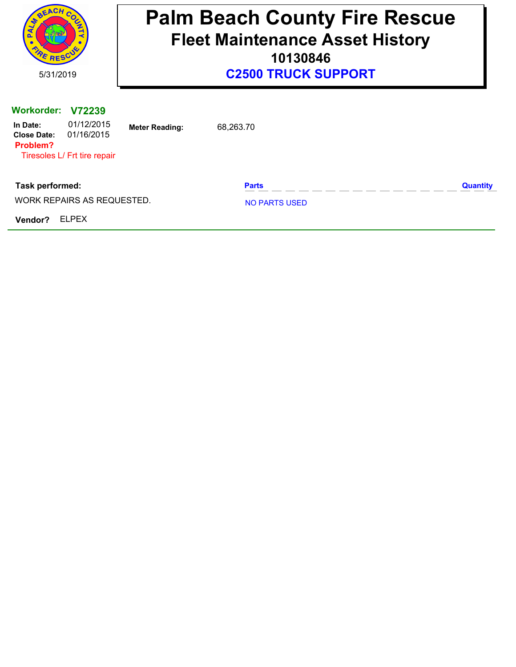| <b>BEACH</b><br>RE RESCU                                        |                                                                    |                       | <b>Palm Beach County Fire Rescue</b><br><b>Fleet Maintenance Asset History</b><br>10130846 |                 |
|-----------------------------------------------------------------|--------------------------------------------------------------------|-----------------------|--------------------------------------------------------------------------------------------|-----------------|
| 5/31/2019                                                       |                                                                    |                       | <b>C2500 TRUCK SUPPORT</b>                                                                 |                 |
| <b>Workorder:</b><br>In Date:<br><b>Close Date:</b><br>Problem? | V72239<br>01/12/2015<br>01/16/2015<br>Tiresoles L/ Frt tire repair | <b>Meter Reading:</b> | 68,263.70                                                                                  |                 |
| Task performed:                                                 | WORK REPAIRS AS REQUESTED.                                         |                       | <b>Parts</b><br><b>NO PARTS USED</b>                                                       | <b>Quantity</b> |
| Vendor?                                                         | <b>ELPEX</b>                                                       |                       |                                                                                            |                 |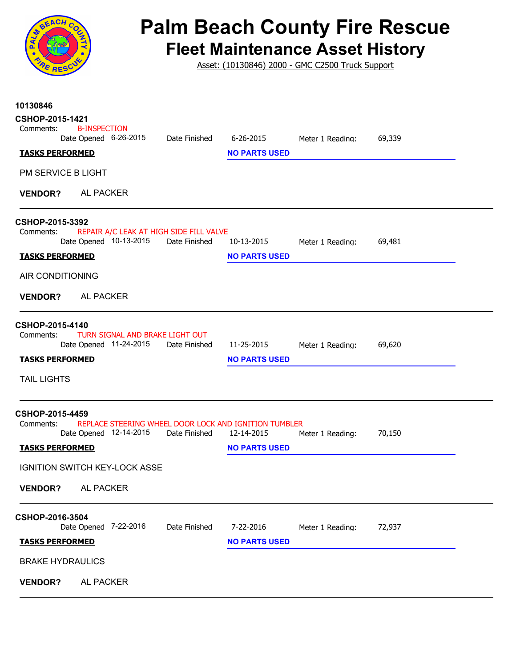

Asset: (10130846) 2000 - GMC C2500 Truck Support

| 10130846<br>CSHOP-2015-1421                                                                                   |                                                                 |  |
|---------------------------------------------------------------------------------------------------------------|-----------------------------------------------------------------|--|
| <b>B-INSPECTION</b><br>Comments:                                                                              |                                                                 |  |
| Date Opened 6-26-2015<br>Date Finished<br><b>TASKS PERFORMED</b>                                              | 69,339<br>6-26-2015<br>Meter 1 Reading:<br><b>NO PARTS USED</b> |  |
|                                                                                                               |                                                                 |  |
| PM SERVICE B LIGHT                                                                                            |                                                                 |  |
| AL PACKER<br><b>VENDOR?</b>                                                                                   |                                                                 |  |
| CSHOP-2015-3392                                                                                               |                                                                 |  |
| REPAIR A/C LEAK AT HIGH SIDE FILL VALVE<br>Comments:<br>Date Opened 10-13-2015<br>Date Finished               | 10-13-2015<br>69,481<br>Meter 1 Reading:                        |  |
| <b>TASKS PERFORMED</b>                                                                                        | <b>NO PARTS USED</b>                                            |  |
| AIR CONDITIONING                                                                                              |                                                                 |  |
| <b>AL PACKER</b><br><b>VENDOR?</b>                                                                            |                                                                 |  |
| CSHOP-2015-4140                                                                                               |                                                                 |  |
| TURN SIGNAL AND BRAKE LIGHT OUT<br>Comments:<br>Date Opened 11-24-2015<br>Date Finished                       | 11-25-2015<br>69,620<br>Meter 1 Reading:                        |  |
| <b>TASKS PERFORMED</b>                                                                                        | <b>NO PARTS USED</b>                                            |  |
| <b>TAIL LIGHTS</b>                                                                                            |                                                                 |  |
| CSHOP-2015-4459                                                                                               |                                                                 |  |
| REPLACE STEERING WHEEL DOOR LOCK AND IGNITION TUMBLER<br>Comments:<br>Date Opened 12-14-2015<br>Date Finished | 12-14-2015<br>70,150<br>Meter 1 Reading:                        |  |
| <b>TASKS PERFORMED</b>                                                                                        | <b>NO PARTS USED</b>                                            |  |
| <b>IGNITION SWITCH KEY-LOCK ASSE</b>                                                                          |                                                                 |  |
| <b>AL PACKER</b><br><b>VENDOR?</b>                                                                            |                                                                 |  |
| CSHOP-2016-3504                                                                                               |                                                                 |  |
| Date Opened 7-22-2016<br>Date Finished                                                                        | 7-22-2016<br>72,937<br>Meter 1 Reading:                         |  |
| <b>TASKS PERFORMED</b>                                                                                        | <b>NO PARTS USED</b>                                            |  |
| <b>BRAKE HYDRAULICS</b>                                                                                       |                                                                 |  |
| AL PACKER<br><b>VENDOR?</b>                                                                                   |                                                                 |  |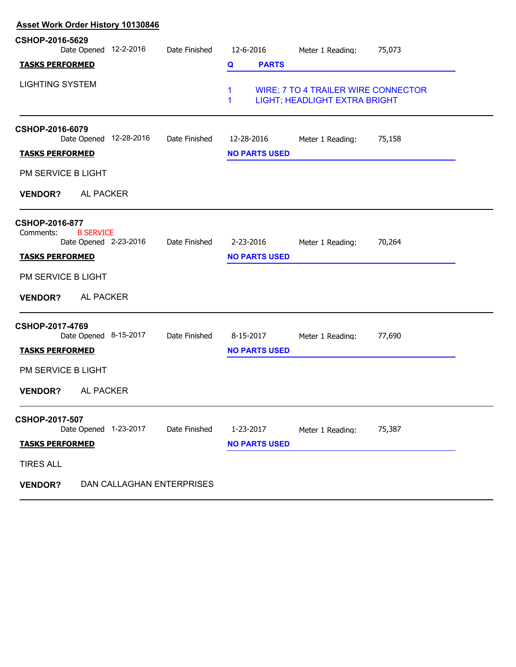| <b>Asset Work Order History 10130846</b> |                                    |                                                                             |        |  |  |
|------------------------------------------|------------------------------------|-----------------------------------------------------------------------------|--------|--|--|
| Date Finished                            | 12-6-2016                          | Meter 1 Reading:                                                            | 75,073 |  |  |
|                                          | <b>PARTS</b><br>Q                  |                                                                             |        |  |  |
|                                          | 1<br>1                             | <b>WIRE; 7 TO 4 TRAILER WIRE CONNECTOR</b><br>LIGHT; HEADLIGHT EXTRA BRIGHT |        |  |  |
| Date Finished                            | 12-28-2016<br><b>NO PARTS USED</b> | Meter 1 Reading:                                                            | 75,158 |  |  |
|                                          |                                    |                                                                             |        |  |  |
|                                          |                                    |                                                                             |        |  |  |
| Date Finished                            | 2-23-2016<br><b>NO PARTS USED</b>  | Meter 1 Reading:                                                            | 70,264 |  |  |
|                                          |                                    |                                                                             |        |  |  |
|                                          |                                    |                                                                             |        |  |  |
| Date Finished                            | 8-15-2017<br><b>NO PARTS USED</b>  | Meter 1 Reading:                                                            | 77,690 |  |  |
|                                          |                                    |                                                                             |        |  |  |
|                                          |                                    |                                                                             |        |  |  |
| Date Finished                            | 1-23-2017                          | Meter 1 Reading:                                                            | 75,387 |  |  |
|                                          | <b>NO PARTS USED</b>               |                                                                             |        |  |  |
|                                          |                                    |                                                                             |        |  |  |
|                                          |                                    |                                                                             |        |  |  |
|                                          |                                    |                                                                             |        |  |  |